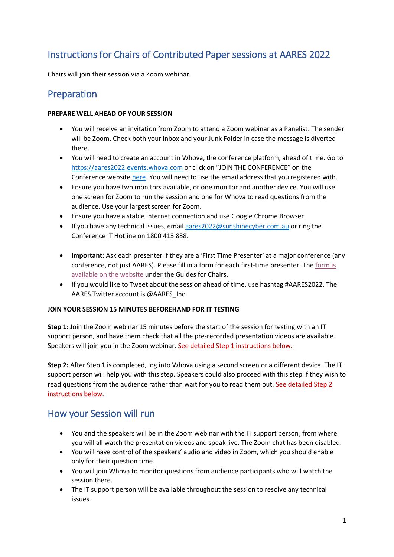# Instructions for Chairs of Contributed Paper sessions at AARES 2022

Chairs will join their session via a Zoom webinar.

### Preparation

#### **PREPARE WELL AHEAD OF YOUR SESSION**

- You will receive an invitation from Zoom to attend a Zoom webinar as a Panelist. The sender will be Zoom. Check both your inbox and your Junk Folder in case the message is diverted there.
- You will need to create an account in Whova, the conference platform, ahead of time. Go to [https://aares2022.events.whova.com](https://aus01.safelinks.protection.outlook.com/?url=https%3A%2F%2Faares2022.events.whova.com%2F&data=04%7C01%7Clmorales%40myune.mail.onmicrosoft.com%7C1aabab70c2b94687b76308d9da3c8bef%7C3e104c4f8ef24d1483d8bd7d3b46b8db%7C0%7C0%7C637780775845996053%7CUnknown%7CTWFpbGZsb3d8eyJWIjoiMC4wLjAwMDAiLCJQIjoiV2luMzIiLCJBTiI6Ik1haWwiLCJXVCI6Mn0%3D%7C3000&sdata=ld2FreD%2BjwbwzJvXhc1m%2FXDECmzde8uSSsWOLKb%2FpXE%3D&reserved=0) or click on "JOIN THE CONFERENCE" on the Conference websit[e here.](http://aares2022.org.au/) You will need to use the email address that you registered with.
- Ensure you have two monitors available, or one monitor and another device. You will use one screen for Zoom to run the session and one for Whova to read questions from the audience. Use your largest screen for Zoom.
- Ensure you have a stable internet connection and use Google Chrome Browser.
- If you have any technical issues, email [aares2022@sunshinecyber.com.au](mailto:aares2022@sunshinecyber.com.aur) or ring the Conference IT Hotline on 1800 413 838.
- **Important**: Ask each presenter if they are a 'First Time Presenter' at a major conference (any conference, not just AARES). Please fill in a form for each first-time presenter. Th[e form is](https://www.aares.org.au/Events/AARES-2022/information-for-participants/) available [on the website](https://www.aares.org.au/Events/AARES-2022/information-for-participants/) under the Guides for Chairs.
- If you would like to Tweet about the session ahead of time, use hashtag #AARES2022. The AARES Twitter account is @AARES\_Inc.

#### **JOIN YOUR SESSION 15 MINUTES BEFOREHAND FOR IT TESTING**

**Step 1:** Join the Zoom webinar 15 minutes before the start of the session for testing with an IT support person, and have them check that all the pre-recorded presentation videos are available. Speakers will join you in the Zoom webinar. See detailed Step 1 instructions below.

**Step 2:** After Step 1 is completed, log into Whova using a second screen or a different device. The IT support person will help you with this step. Speakers could also proceed with this step if they wish to read questions from the audience rather than wait for you to read them out. See detailed Step 2 instructions below.

### How your Session will run

- You and the speakers will be in the Zoom webinar with the IT support person, from where you will all watch the presentation videos and speak live. The Zoom chat has been disabled.
- You will have control of the speakers' audio and video in Zoom, which you should enable only for their question time.
- You will join Whova to monitor questions from audience participants who will watch the session there.
- The IT support person will be available throughout the session to resolve any technical issues.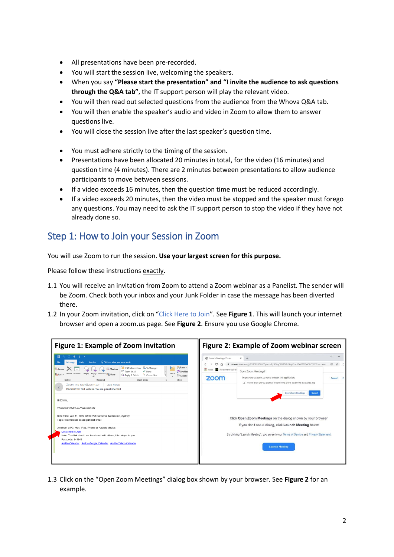- All presentations have been pre-recorded.
- You will start the session live, welcoming the speakers.
- When you say **"Please start the presentation" and "I invite the audience to ask questions through the Q&A tab"**, the IT support person will play the relevant video.
- You will then read out selected questions from the audience from the Whova Q&A tab.
- You will then enable the speaker's audio and video in Zoom to allow them to answer questions live.
- You will close the session live after the last speaker's question time.
- You must adhere strictly to the timing of the session.
- Presentations have been allocated 20 minutes in total, for the video (16 minutes) and question time (4 minutes). There are 2 minutes between presentations to allow audience participants to move between sessions.
- If a video exceeds 16 minutes, then the question time must be reduced accordingly.
- If a video exceeds 20 minutes, then the video must be stopped and the speaker must forego any questions. You may need to ask the IT support person to stop the video if they have not already done so.

## Step 1: How to Join your Session in Zoom

You will use Zoom to run the session. **Use your largest screen for this purpose.**

Please follow these instructions exactly.

- 1.1 You will receive an invitation from Zoom to attend a Zoom webinar as a Panelist. The sender will be Zoom. Check both your inbox and your Junk Folder in case the message has been diverted there.
- 1.2 In your Zoom invitation, click on "Click Here to Join". See **Figure 1**. This will launch your internet browser and open a zoom.us page. See **Figure 2**. Ensure you use Google Chrome.

| <b>Figure 1: Example of Zoom invitation</b>                                                                                                                                                                                                                                                                                                                                                                                                                                                                                                                                                                                                                                                                                                                                                                                                                                                                                                                                                              | Figure 2: Example of Zoom webinar screen                                                                                                                                                                                                                                                                                                                                                                                                                                                                                                                                                                                           |  |  |  |
|----------------------------------------------------------------------------------------------------------------------------------------------------------------------------------------------------------------------------------------------------------------------------------------------------------------------------------------------------------------------------------------------------------------------------------------------------------------------------------------------------------------------------------------------------------------------------------------------------------------------------------------------------------------------------------------------------------------------------------------------------------------------------------------------------------------------------------------------------------------------------------------------------------------------------------------------------------------------------------------------------------|------------------------------------------------------------------------------------------------------------------------------------------------------------------------------------------------------------------------------------------------------------------------------------------------------------------------------------------------------------------------------------------------------------------------------------------------------------------------------------------------------------------------------------------------------------------------------------------------------------------------------------|--|--|--|
| 日<br>$\triangle$<br>ی بل ا<br><b>Q</b> Tell me what you want to do<br>Acrobat<br>File<br>UNE Information C. To Manager<br>tra Rules -<br><b>R</b> elgnore<br><b>R</b> Meeting<br>Team Email<br>$\sqrt{}$ Done<br><b>D</b> OneNote<br>Delete Archive Reply<br>Move<br>Reply<br>Forward<br><b>Ballunk</b><br><b>BE</b> More -<br>Reply & Delete<br>F Create New<br><sup>24</sup> Actions<br>Quick Steps<br>Delete<br>Respond<br><b>Move</b><br>Zoom <no-reply@zoom.us><br/><b>Emilio Morales</b><br/>Ζ<br/>Panelist for test webinar to see panelist email<br/>Hi Emilio.<br/>You are invited to a Zoom webinar.<br/>Date Time: Jan 31, 2022 03:00 PM Canberra, Melbourne, Sydney<br/>Topic: test webinar to see panelist email<br/>Join from a PC. Mac. iPad. iPhone or Android device:<br/><b>Click Here to Join</b><br/>Note: This link should not be shared with others; it is unique to you.<br/>Passcode: 941949<br/>Add to Calendar Add to Google Calendar Add to Yahoo Calendar</no-reply@zoom.us> | <b>3</b> Launch Meeting - Zoom<br>$\times$<br>a une-au.zoom.us/j/89308535266?pwd=Ry9Oby9BMDBUSnpZdml0eGFFQW50QT09#success<br>99<br>m<br>Assessment Guideli<br>Open Zoom Meetings?<br>https://une-au.zoom.us wants to open this application.<br>zoom<br>Always allow une-au.zoom.us to open links of this type in the associated app.<br><b>Open Zoom Meetings</b><br>Cance <sup>1</sup><br>Click Open Zoom Meetings on the dialog shown by your browser<br>If you don't see a dialog, click Launch Meeting below<br>By clicking "Launch Meeting", you agree to our Terms of Service and Privacy Statement<br><b>Launch Meeting</b> |  |  |  |

1.3 Click on the "Open Zoom Meetings" dialog box shown by your browser. See **Figure 2** for an example.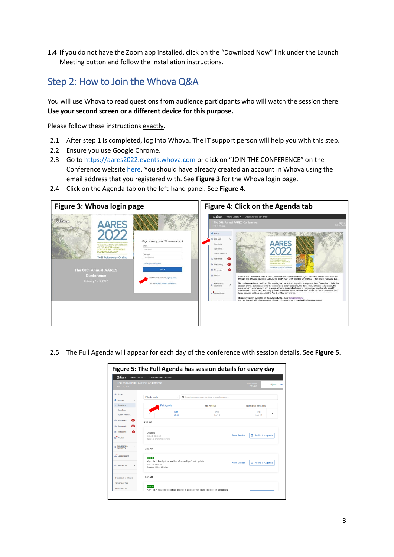**1.4** If you do not have the Zoom app installed, click on the "Download Now" link under the Launch Meeting button and follow the installation instructions.

## Step 2: How to Join the Whova Q&A

You will use Whova to read questions from audience participants who will watch the session there. **Use your second screen or a different device for this purpose.**

Please follow these instructions exactly.

- 2.1 After step 1 is completed, log into Whova. The IT support person will help you with this step.
- 2.2 Ensure you use Google Chrome.
- 2.3 Go to [https://aares2022.events.whova.com](https://aares2022.events.whova.com/) or click on "JOIN THE CONFERENCE" on the Conference website [here.](http://aares2022.org.au/) You should have already created an account in Whova using the email address that you registered with. See **Figure 3** for the Whova login page.
- 2.4 Click on the Agenda tab on the left-hand panel. See **Figure 4**.



2.5 The Full Agenda will appear for each day of the conference with session details. See **Figure 5**.

|                                                      | Figure 5: The Full Agenda has session details for every day                                                         |              |                                                                                         |                     |                           |                    |  |  |  |
|------------------------------------------------------|---------------------------------------------------------------------------------------------------------------------|--------------|-----------------------------------------------------------------------------------------|---------------------|---------------------------|--------------------|--|--|--|
| <b>Ulhova</b><br>Whova Guides -                      | Organizing your own event?                                                                                          |              |                                                                                         |                     |                           |                    |  |  |  |
| The 66th Annual AARES Conference<br>Feb 7 - 11, 2022 |                                                                                                                     |              |                                                                                         |                     | ponsor level<br>Principal | <b><i>Cray</i></b> |  |  |  |
| 骨 Home<br><b>昔 Agenda</b>                            | Filter by tracks                                                                                                    | ٠            | Q Search session name, location, or speaker name.                                       |                     |                           |                    |  |  |  |
| · Sessions                                           | <b>Full Agenda</b><br>My Agenda                                                                                     |              | <b>Rehearsal Sessions</b>                                                               |                     |                           |                    |  |  |  |
| Speakers<br>Speed Network                            |                                                                                                                     | Tue<br>Feb 8 | Wed<br>Feb 9                                                                            |                     | Thu<br>Feb 10             | $\rightarrow$      |  |  |  |
| 67<br><b>ニ Attendees</b><br><b>S</b> Community<br>22 | 9:30 AM                                                                                                             |              |                                                                                         |                     |                           |                    |  |  |  |
| 图 Messages<br>Ω<br>m <sup>*</sup> Photos             | Opening<br>9:30 AM - 10:00 AM<br>Speakers: Shane Fitzsimmons                                                        |              |                                                                                         | <b>View Session</b> | 菌 Add to My Agenda        |                    |  |  |  |
| Exhibitors &<br>$\rightarrow$<br>Sponsors            | 10:00 AM                                                                                                            |              |                                                                                         |                     |                           |                    |  |  |  |
| Leaderboard                                          | Keynote                                                                                                             |              |                                                                                         |                     |                           |                    |  |  |  |
| <b>E</b> Resources<br>$\rightarrow$                  | Keynote 1: Food prices and the affordability of healthy diets<br>10:00 AM - 11:00 AM<br>Speakers: William A Masters |              |                                                                                         | <b>View Session</b> | 的 Add to My Agenda        |                    |  |  |  |
| Feedback to Whova                                    | 11:00 AM                                                                                                            |              |                                                                                         |                     |                           |                    |  |  |  |
| Organizer Tips<br>About Whova                        | Keynote                                                                                                             |              | Keynote 2: Adapting to climate change in an uncertain future: the role for agricultural |                     |                           |                    |  |  |  |